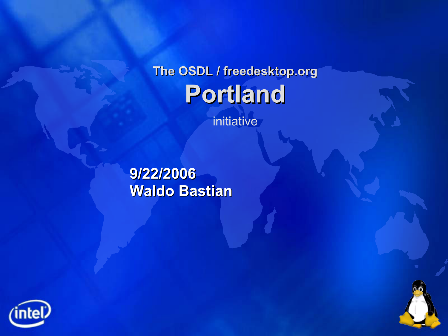#### **The OSDL / freedesktop.org Portland**

initiative

**9/22/2006 Waldo Bastian**



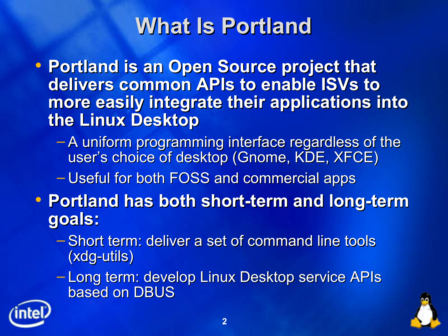## **What Is Portland**

 **Portland is an Open Source project that delivers common APIs to enable ISVs to more easily integrate their applications into the Linux Desktop**

– A uniform programming interface regardless of the user's choice of desktop (Gnome, KDE, XFCE)

– Useful for both FOSS and commercial apps

- **Portland has both short-term and long-term goals:**
	- Short term: deliver a set of command line tools (xdg-utils)
	- Long term: develop Linux Desktop service APIs based on DBUS



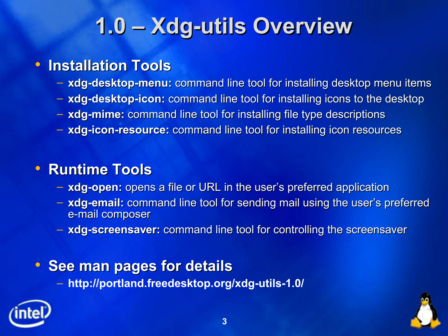# **1.0 – Xdg-utils Overview**

#### **Installation Tools**

- **xdg-desktop-menu:** command line tool for installing desktop menu items
- **xdg-desktop-icon:** command line tool for installing icons to the desktop
- **xdg-mime:** command line tool for installing file type descriptions
- **xdg-icon-resource:** command line tool for installing icon resources

#### **Runtime Tools**

- **xdg-open:** opens a file or URL in the user's preferred application
- **xdg-email:** command line tool for sending mail using the user's preferred e-mail composer
- **xdg-screensaver:** command line tool for controlling the screensaver

#### **See man pages for details**

– **http://portland.freedesktop.org/xdg-utils-1.0/**



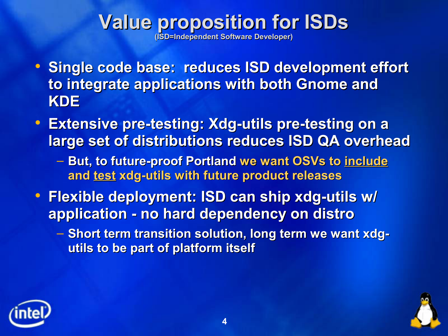#### **Value proposition for ISDs (ISD=Independent Software Developer)**

- **Single code base: reduces ISD development effort to integrate applications with both Gnome and KDE**
- **Extensive pre-testing: Xdg-utils pre-testing on a large set of distributions reduces ISD QA overhead**
	- **But, to future-proof Portland we want OSVs to include and test xdg-utils with future product releases**
- **Flexible deployment: ISD can ship xdg-utils w/ application - no hard dependency on distro**
	- **Short term transition solution, long term we want xdgutils to be part of platform itself**



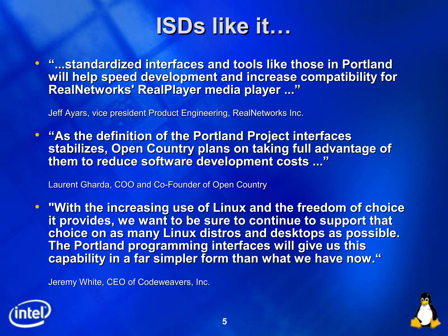

 **"...standardized interfaces and tools like those in Portland will help speed development and increase compatibility for RealNetworks' RealPlayer media player ..."**

Jeff Ayars, vice president Product Engineering, RealNetworks Inc.

 **"As the definition of the Portland Project interfaces stabilizes, Open Country plans on taking full advantage of them to reduce software development costs ..."**

Laurent Gharda, COO and Co-Founder of Open Country

 **"With the increasing use of Linux and the freedom of choice it provides, we want to be sure to continue to support that choice on as many Linux distros and desktops as possible. The Portland programming interfaces will give us this capability in a far simpler form than what we have now."**

Jeremy White, CEO of Codeweavers, Inc.



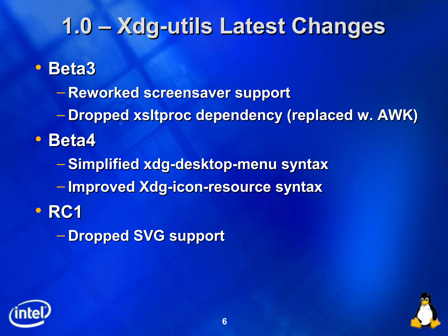### **1.0 – Xdg-utils Latest Changes**

#### **Beta3**

- **Reworked screensaver support**
- **Dropped xsltproc dependency (replaced w. AWK)**
- **Beta4**
	- **Simplified xdg-desktop-menu syntax**
	- **Improved Xdg-icon-resource syntax**
- **RC1** 
	- **Dropped SVG support**



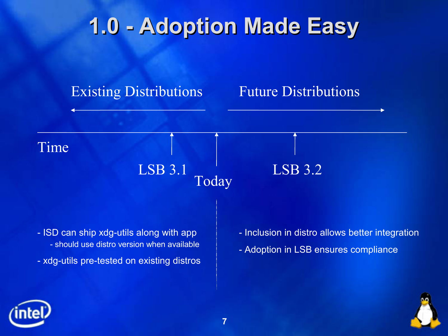## **1.0 - Adoption Made Easy**



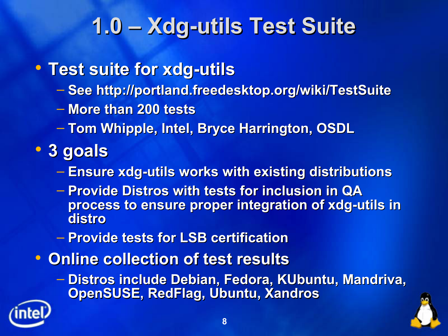## **1.0 – Xdg-utils Test Suite**

- **Test suite for xdg-utils**
	- **See http://portland.freedesktop.org/wiki/TestSuite**
	- **More than 200 tests**
	- **Tom Whipple, Intel, Bryce Harrington, OSDL**
- **3 goals**
	- **Ensure xdg-utils works with existing distributions**
	- **Provide Distros with tests for inclusion in QA process to ensure proper integration of xdg-utils in distro**
	- **Provide tests for LSB certification**
- **Online collection of test results**
	- **Distros include Debian, Fedora, KUbuntu, Mandriva, OpenSUSE, RedFlag, Ubuntu, Xandros**

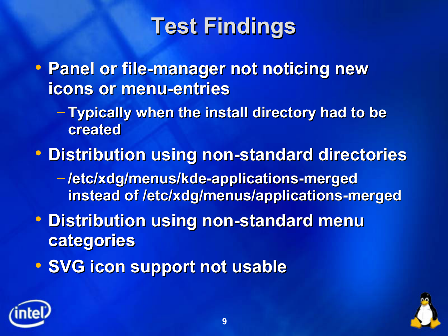# **Test Findings**

 **Panel or file-manager not noticing new icons or menu-entries**

- **Typically when the install directory had to be created**
- **Distribution using non-standard directories**
	- **/etc/xdg/menus/kde-applications-merged instead of /etc/xdg/menus/applications-merged**
- **Distribution using non-standard menu categories**
- **SVG icon support not usable**



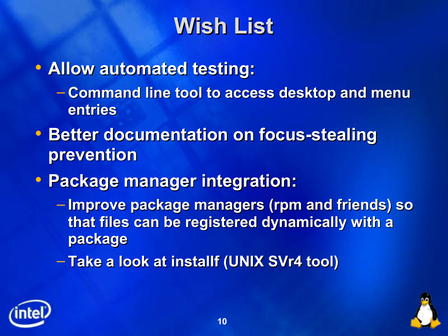### **Wish List**

- **Allow automated testing:**
	- **Command line tool to access desktop and menu entries**
- **Better documentation on focus-stealing prevention**
- **Package manager integration:**
	- **Improve package managers (rpm and friends) so that files can be registered dynamically with a package**
	- **Take a look at installf (UNIX SVr4 tool)**



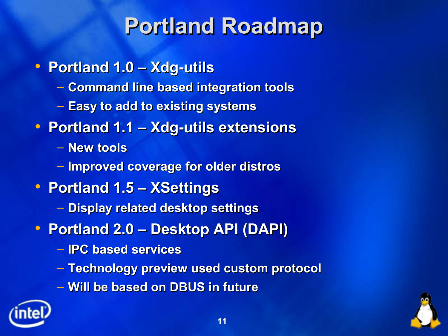## **Portland Roadmap**

- **Portland 1.0 – Xdg-utils**
	- **Command line based integration tools**
	- **Easy to add to existing systems**
- **Portland 1.1 – Xdg-utils extensions**
	- **New tools**
	- **Improved coverage for older distros**
- **Portland 1.5 – XSettings**
	- **Display related desktop settings**
- **Portland 2.0 – Desktop API (DAPI)**
	- **IPC based services**
	- **Technology preview used custom protocol**
	- **Will be based on DBUS in future**



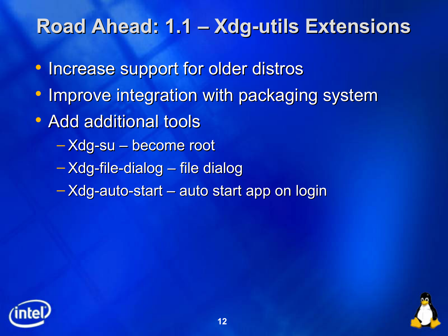#### **Road Ahead: 1.1 – Xdg-utils Extensions**

- Increase support for older distros
- Improve integration with packaging system
- Add additional tools
	- Xdg-su become root
	- Xdg-file-dialog file dialog
	- Xdg-auto-start auto start app on login



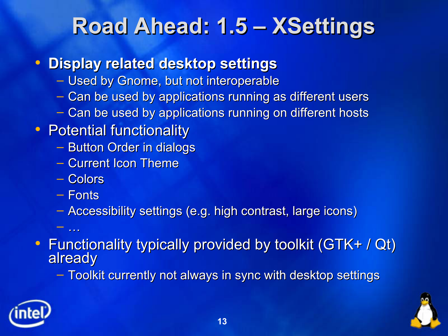### **Road Ahead: 1.5 – XSettings**

- **Display related desktop settings**
	- Used by Gnome, but not interoperable
	- Can be used by applications running as different users
	- Can be used by applications running on different hosts
- Potential functionality
	- Button Order in dialogs
	- Current Icon Theme
	- Colors
	- Fonts

 $-$  . . . .

- Accessibility settings (e.g. high contrast, large icons)
- Functionality typically provided by toolkit (GTK+ / Qt) already

– Toolkit currently not always in sync with desktop settings